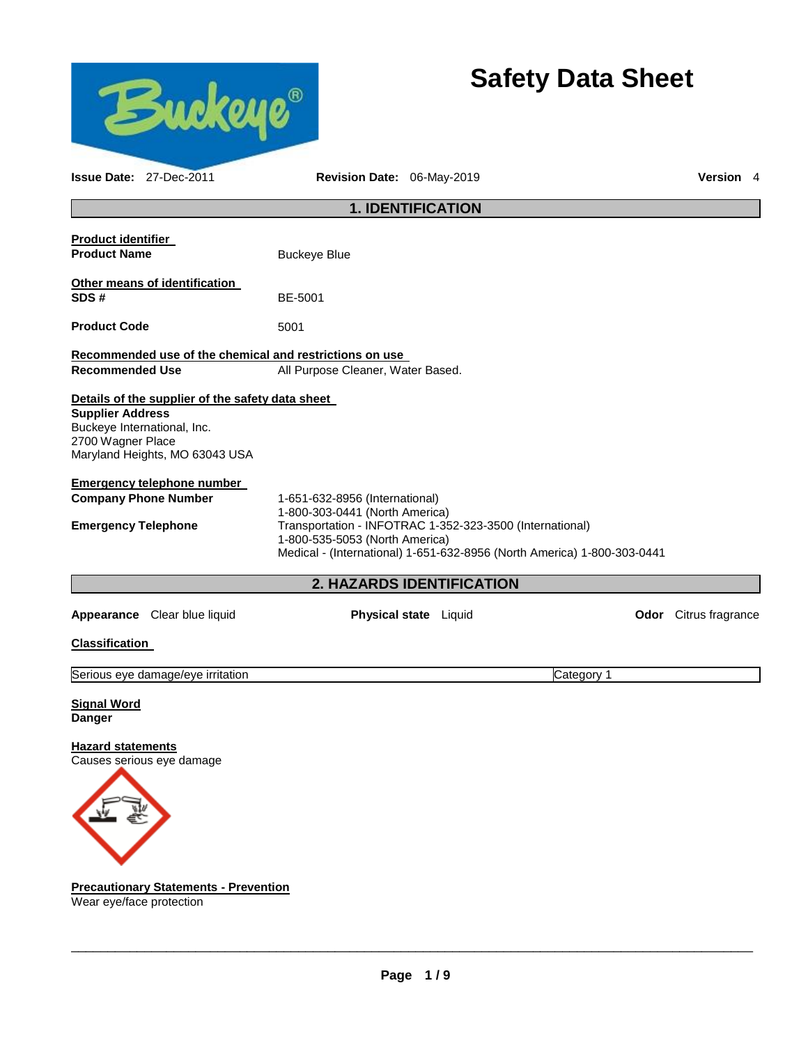

# **Safety Data Sheet**

| <b>Issue Date: 27-Dec-2011</b>                                                                                                                                    | Revision Date: 06-May-2019                                                                                                                                                                                                                | <b>Version</b> 4             |
|-------------------------------------------------------------------------------------------------------------------------------------------------------------------|-------------------------------------------------------------------------------------------------------------------------------------------------------------------------------------------------------------------------------------------|------------------------------|
|                                                                                                                                                                   | <b>1. IDENTIFICATION</b>                                                                                                                                                                                                                  |                              |
| <b>Product identifier</b><br><b>Product Name</b>                                                                                                                  | <b>Buckeye Blue</b>                                                                                                                                                                                                                       |                              |
| Other means of identification<br>SDS#                                                                                                                             | BE-5001                                                                                                                                                                                                                                   |                              |
| <b>Product Code</b>                                                                                                                                               | 5001                                                                                                                                                                                                                                      |                              |
| <b>Recommended Use</b>                                                                                                                                            | Recommended use of the chemical and restrictions on use<br>All Purpose Cleaner, Water Based.                                                                                                                                              |                              |
| Details of the supplier of the safety data sheet<br><b>Supplier Address</b><br>Buckeye International, Inc.<br>2700 Wagner Place<br>Maryland Heights, MO 63043 USA |                                                                                                                                                                                                                                           |                              |
| <b>Emergency telephone number</b><br><b>Company Phone Number</b><br><b>Emergency Telephone</b>                                                                    | 1-651-632-8956 (International)<br>1-800-303-0441 (North America)<br>Transportation - INFOTRAC 1-352-323-3500 (International)<br>1-800-535-5053 (North America)<br>Medical - (International) 1-651-632-8956 (North America) 1-800-303-0441 |                              |
|                                                                                                                                                                   | 2. HAZARDS IDENTIFICATION                                                                                                                                                                                                                 |                              |
| Appearance Clear blue liquid                                                                                                                                      | Physical state Liquid                                                                                                                                                                                                                     | <b>Odor</b> Citrus fragrance |
| <b>Classification</b>                                                                                                                                             |                                                                                                                                                                                                                                           |                              |
| Serious eye damage/eye irritation                                                                                                                                 |                                                                                                                                                                                                                                           | Category 1                   |
| <b>Signal Word</b><br><b>Danger</b>                                                                                                                               |                                                                                                                                                                                                                                           |                              |
| <b>Hazard statements</b><br>Causes serious eye damage                                                                                                             |                                                                                                                                                                                                                                           |                              |

**Precautionary Statements - Prevention**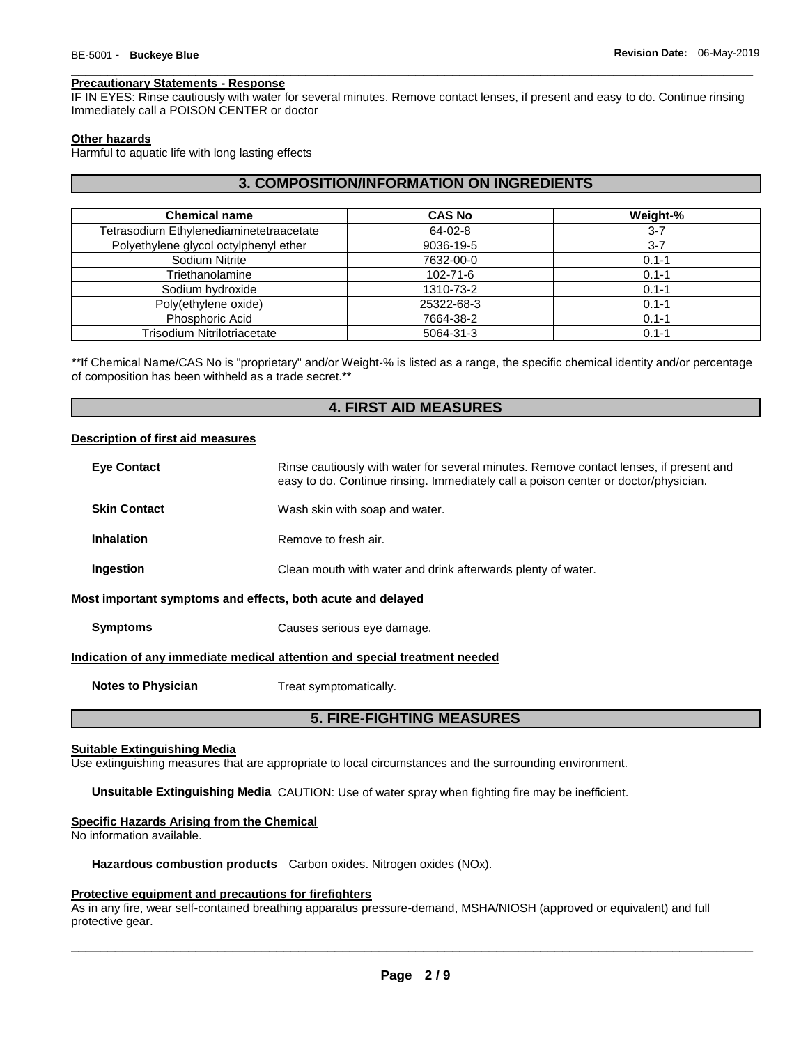#### **Precautionary Statements - Response**

IF IN EYES: Rinse cautiously with water for several minutes. Remove contact lenses, if present and easy to do. Continue rinsing Immediately call a POISON CENTER or doctor

\_\_\_\_\_\_\_\_\_\_\_\_\_\_\_\_\_\_\_\_\_\_\_\_\_\_\_\_\_\_\_\_\_\_\_\_\_\_\_\_\_\_\_\_\_\_\_\_\_\_\_\_\_\_\_\_\_\_\_\_\_\_\_\_\_\_\_\_\_\_\_\_\_\_\_\_\_\_\_\_\_\_\_\_\_\_\_\_\_\_\_\_\_

#### **Other hazards**

Harmful to aquatic life with long lasting effects

# **3. COMPOSITION/INFORMATION ON INGREDIENTS**

| <b>Chemical name</b>                    | <b>CAS No</b>  | Weight-%  |
|-----------------------------------------|----------------|-----------|
| Tetrasodium Ethylenediaminetetraacetate | 64-02-8        | $3 - 7$   |
| Polyethylene glycol octylphenyl ether   | 9036-19-5      | $3 - 7$   |
| Sodium Nitrite                          | 7632-00-0      | $0.1 - 1$ |
| Triethanolamine                         | $102 - 71 - 6$ | $0.1 - 1$ |
| Sodium hydroxide                        | 1310-73-2      | $0.1 - 1$ |
| Poly(ethylene oxide)                    | 25322-68-3     | $0.1 - 1$ |
| Phosphoric Acid                         | 7664-38-2      | $0.1 - 1$ |
| Trisodium Nitrilotriacetate             | 5064-31-3      | $0.1 - 1$ |

\*\*If Chemical Name/CAS No is "proprietary" and/or Weight-% is listed as a range, the specific chemical identity and/or percentage of composition has been withheld as a trade secret.\*\*

# **4. FIRST AID MEASURES**

#### **Description of first aid measures**

| <b>Eve Contact</b>                                          | Rinse cautiously with water for several minutes. Remove contact lenses, if present and<br>easy to do. Continue rinsing. Immediately call a poison center or doctor/physician. |
|-------------------------------------------------------------|-------------------------------------------------------------------------------------------------------------------------------------------------------------------------------|
| <b>Skin Contact</b>                                         | Wash skin with soap and water.                                                                                                                                                |
| <b>Inhalation</b>                                           | Remove to fresh air.                                                                                                                                                          |
| Ingestion                                                   | Clean mouth with water and drink afterwards plenty of water.                                                                                                                  |
| Most important symptoms and effects, both acute and delayed |                                                                                                                                                                               |
| <b>Symptoms</b>                                             | Causes serious eye damage.                                                                                                                                                    |
|                                                             | Indication of any immediate medical attention and special treatment needed                                                                                                    |
| <b>Notes to Physician</b>                                   | Treat symptomatically.                                                                                                                                                        |

# **5. FIRE-FIGHTING MEASURES**

#### **Suitable Extinguishing Media**

Use extinguishing measures that are appropriate to local circumstances and the surrounding environment.

**Unsuitable Extinguishing Media** CAUTION: Use of water spray when fighting fire may be inefficient.

#### **Specific Hazards Arising from the Chemical**

No information available.

**Hazardous combustion products** Carbon oxides. Nitrogen oxides (NOx).

#### **Protective equipment and precautions for firefighters**

As in any fire, wear self-contained breathing apparatus pressure-demand, MSHA/NIOSH (approved or equivalent) and full protective gear.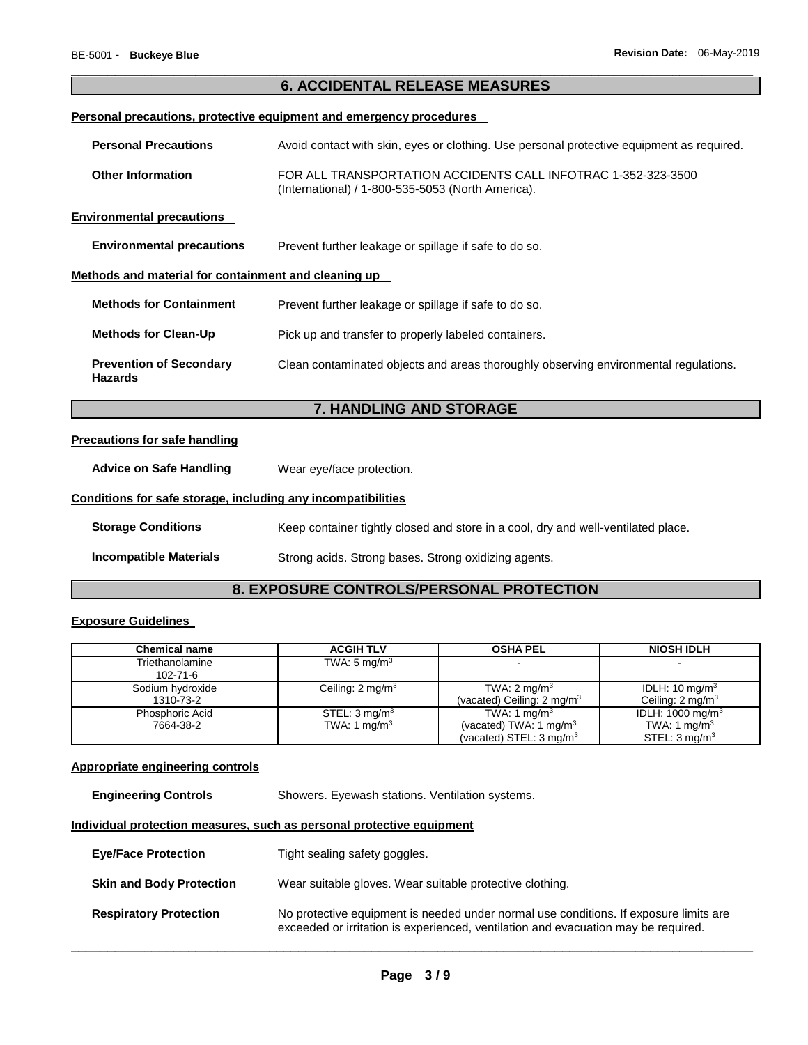# \_\_\_\_\_\_\_\_\_\_\_\_\_\_\_\_\_\_\_\_\_\_\_\_\_\_\_\_\_\_\_\_\_\_\_\_\_\_\_\_\_\_\_\_\_\_\_\_\_\_\_\_\_\_\_\_\_\_\_\_\_\_\_\_\_\_\_\_\_\_\_\_\_\_\_\_\_\_\_\_\_\_\_\_\_\_\_\_\_\_\_\_\_ **6. ACCIDENTAL RELEASE MEASURES**

# **Personal precautions, protective equipment and emergency procedures**

| <b>Personal Precautions</b>                          | Avoid contact with skin, eyes or clothing. Use personal protective equipment as required.                          |
|------------------------------------------------------|--------------------------------------------------------------------------------------------------------------------|
| <b>Other Information</b>                             | FOR ALL TRANSPORTATION ACCIDENTS CALL INFOTRAC 1-352-323-3500<br>(International) / 1-800-535-5053 (North America). |
| <b>Environmental precautions</b>                     |                                                                                                                    |
| <b>Environmental precautions</b>                     | Prevent further leakage or spillage if safe to do so.                                                              |
| Methods and material for containment and cleaning up |                                                                                                                    |
| <b>Methods for Containment</b>                       | Prevent further leakage or spillage if safe to do so.                                                              |
| <b>Methods for Clean-Up</b>                          | Pick up and transfer to properly labeled containers.                                                               |
| <b>Prevention of Secondary</b><br><b>Hazards</b>     | Clean contaminated objects and areas thoroughly observing environmental regulations.                               |
|                                                      | <b>7. HANDLING AND STORAGE</b>                                                                                     |

## **Precautions for safe handling**

| <b>Advice on Safe Handling</b> | Wear eye/face protection. |
|--------------------------------|---------------------------|
|--------------------------------|---------------------------|

#### **Conditions for safe storage, including any incompatibilities**

| <b>Storage Conditions</b> | Keep container tightly closed and store in a cool, dry and well-ventilated place. |
|---------------------------|-----------------------------------------------------------------------------------|
| Incompatible Materials    | Strong acids. Strong bases. Strong oxidizing agents.                              |

# **8. EXPOSURE CONTROLS/PERSONAL PROTECTION**

# **Exposure Guidelines**

| <b>Chemical name</b>          | <b>ACGIH TLV</b>                                     | <b>OSHA PEL</b>                                                                                      | <b>NIOSH IDLH</b>                                                                     |
|-------------------------------|------------------------------------------------------|------------------------------------------------------------------------------------------------------|---------------------------------------------------------------------------------------|
| Triethanolamine<br>102-71-6   | TWA: $5 \text{ mg/m}^3$                              |                                                                                                      |                                                                                       |
| Sodium hydroxide<br>1310-73-2 | Ceiling: $2 \text{ mg/m}^3$                          | TWA: $2 \text{ mg/m}^3$<br>(vacated) Ceiling: 2 mg/m $3$                                             | IDLH: $10 \text{ mg/m}^3$<br>Ceiling: $2 \text{ mq/m}^3$                              |
| Phosphoric Acid<br>7664-38-2  | STEL: $3 \text{ mg/m}^3$<br>TWA: 1 mg/m <sup>3</sup> | TWA: 1 mg/m <sup>3</sup><br>(vacated) TWA: 1 mg/m <sup>3</sup><br>(vacated) STEL: $3 \text{ mg/m}^3$ | IDLH: 1000 mg/m <sup>3</sup><br>TWA: 1 mg/m <sup>3</sup><br>STEL: 3 mg/m <sup>3</sup> |

#### **Appropriate engineering controls**

**Engineering Controls** Showers. Eyewash stations. Ventilation systems.

#### **Individual protection measures, such as personal protective equipment**

| <b>Eve/Face Protection</b>      | Tight sealing safety goggles.                                                                                                                                               |
|---------------------------------|-----------------------------------------------------------------------------------------------------------------------------------------------------------------------------|
| <b>Skin and Body Protection</b> | Wear suitable gloves. Wear suitable protective clothing.                                                                                                                    |
| <b>Respiratory Protection</b>   | No protective equipment is needed under normal use conditions. If exposure limits are<br>exceeded or irritation is experienced, ventilation and evacuation may be required. |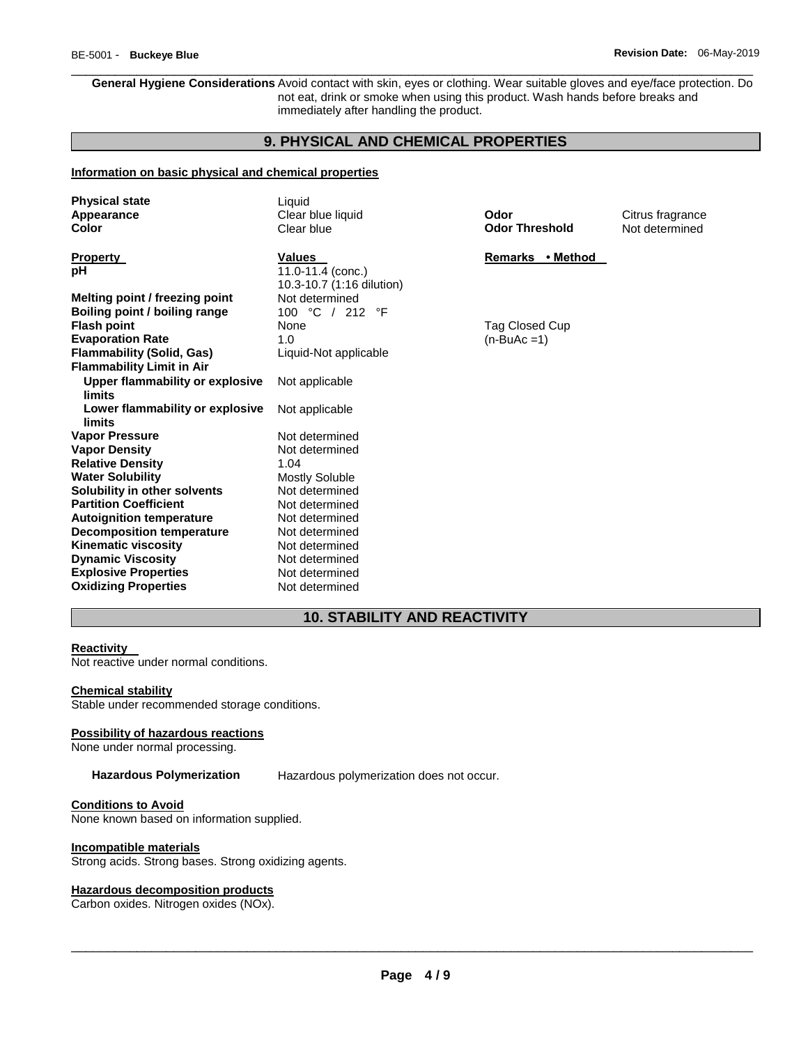**General Hygiene Considerations** Avoid contact with skin, eyes or clothing. Wear suitable gloves and eye/face protection. Do not eat, drink or smoke when using this product. Wash hands before breaks and immediately after handling the product.

\_\_\_\_\_\_\_\_\_\_\_\_\_\_\_\_\_\_\_\_\_\_\_\_\_\_\_\_\_\_\_\_\_\_\_\_\_\_\_\_\_\_\_\_\_\_\_\_\_\_\_\_\_\_\_\_\_\_\_\_\_\_\_\_\_\_\_\_\_\_\_\_\_\_\_\_\_\_\_\_\_\_\_\_\_\_\_\_\_\_\_\_\_

# **9. PHYSICAL AND CHEMICAL PROPERTIES**

#### **Information on basic physical and chemical properties**

| <b>Physical state</b><br>Appearance<br><b>Color</b>     | Liquid<br>Clear blue liquid<br>Clear blue | Odor<br><b>Odor Threshold</b> | Citrus fragrance<br>Not determined |
|---------------------------------------------------------|-------------------------------------------|-------------------------------|------------------------------------|
| <b>Property</b><br>pH                                   | <b>Values</b><br>11.0-11.4 (conc.)        | Remarks • Method              |                                    |
|                                                         | 10.3-10.7 (1:16 dilution)                 |                               |                                    |
| Melting point / freezing point                          | Not determined                            |                               |                                    |
| Boiling point / boiling range                           | 100 °C / 212 °F                           |                               |                                    |
| <b>Flash point</b>                                      | None                                      | Tag Closed Cup                |                                    |
| <b>Evaporation Rate</b>                                 | 1.0                                       | $(n-BuAc=1)$                  |                                    |
| <b>Flammability (Solid, Gas)</b>                        | Liquid-Not applicable                     |                               |                                    |
| <b>Flammability Limit in Air</b>                        |                                           |                               |                                    |
| Upper flammability or explosive                         | Not applicable                            |                               |                                    |
| limits                                                  |                                           |                               |                                    |
| Lower flammability or explosive                         | Not applicable                            |                               |                                    |
| limits                                                  |                                           |                               |                                    |
| <b>Vapor Pressure</b>                                   | Not determined                            |                               |                                    |
| <b>Vapor Density</b>                                    | Not determined                            |                               |                                    |
| <b>Relative Density</b>                                 | 1.04                                      |                               |                                    |
| <b>Water Solubility</b><br>Solubility in other solvents | <b>Mostly Soluble</b><br>Not determined   |                               |                                    |
| <b>Partition Coefficient</b>                            | Not determined                            |                               |                                    |
| <b>Autoignition temperature</b>                         | Not determined                            |                               |                                    |
| <b>Decomposition temperature</b>                        | Not determined                            |                               |                                    |
| <b>Kinematic viscosity</b>                              | Not determined                            |                               |                                    |
| <b>Dynamic Viscosity</b>                                | Not determined                            |                               |                                    |
| <b>Explosive Properties</b>                             | Not determined                            |                               |                                    |
| <b>Oxidizing Properties</b>                             | Not determined                            |                               |                                    |

**10. STABILITY AND REACTIVITY** 

# **Reactivity**

Not reactive under normal conditions.

#### **Chemical stability**

Stable under recommended storage conditions.

### **Possibility of hazardous reactions**

None under normal processing.

**Hazardous Polymerization** Hazardous polymerization does not occur.

# **Conditions to Avoid**

None known based on information supplied.

# **Incompatible materials**

Strong acids. Strong bases. Strong oxidizing agents.

#### **Hazardous decomposition products**

Carbon oxides. Nitrogen oxides (NOx).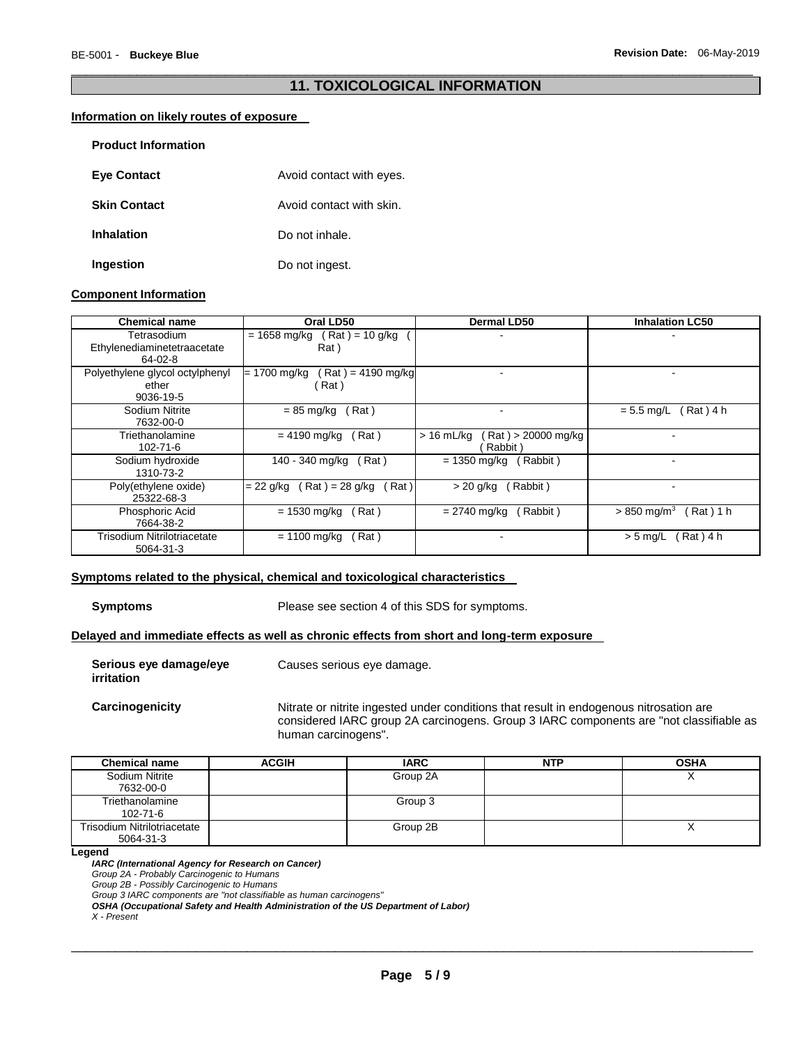# \_\_\_\_\_\_\_\_\_\_\_\_\_\_\_\_\_\_\_\_\_\_\_\_\_\_\_\_\_\_\_\_\_\_\_\_\_\_\_\_\_\_\_\_\_\_\_\_\_\_\_\_\_\_\_\_\_\_\_\_\_\_\_\_\_\_\_\_\_\_\_\_\_\_\_\_\_\_\_\_\_\_\_\_\_\_\_\_\_\_\_\_\_ **11. TOXICOLOGICAL INFORMATION**

#### **Information on likely routes of exposure**

| <b>Product Information</b> |                          |
|----------------------------|--------------------------|
| <b>Eye Contact</b>         | Avoid contact with eyes. |
| <b>Skin Contact</b>        | Avoid contact with skin. |
| <b>Inhalation</b>          | Do not inhale.           |
| Ingestion                  | Do not ingest.           |

#### **Component Information**

| <b>Chemical name</b>            | Oral LD50                            | <b>Dermal LD50</b>                  | <b>Inhalation LC50</b>                |
|---------------------------------|--------------------------------------|-------------------------------------|---------------------------------------|
| Tetrasodium                     | $= 1658$ mg/kg (Rat) = 10 g/kg       |                                     |                                       |
| Ethylenediaminetetraacetate     | Rat)                                 |                                     |                                       |
| 64-02-8                         |                                      |                                     |                                       |
| Polyethylene glycol octylphenyl | = 1700 mg/kg<br>$(Rat) = 4190$ mg/kg |                                     |                                       |
| ether                           | Rat)                                 |                                     |                                       |
| 9036-19-5                       |                                      |                                     |                                       |
| Sodium Nitrite                  | $= 85$ mg/kg<br>Rat)                 |                                     | (Rat ) 4 h<br>$= 5.5$ mg/L            |
| 7632-00-0                       |                                      |                                     |                                       |
| Triethanolamine                 | $= 4190$ mg/kg<br>Rat)               | $>16$ mL/kg<br>(Rat ) > 20000 mg/kg |                                       |
| $102 - 71 - 6$                  |                                      | Rabbit)                             |                                       |
| Sodium hydroxide                | 140 - 340 mg/kg<br>Rat)              | $= 1350$ mg/kg<br>(Rabbit)          |                                       |
| 1310-73-2                       |                                      |                                     |                                       |
| Poly(ethylene oxide)            | $= 22$ g/kg (Rat) = 28 g/kg<br>Rat)  | (Rabbit)<br>$> 20$ g/kg             |                                       |
| 25322-68-3                      |                                      |                                     |                                       |
| Phosphoric Acid                 | (Rat)<br>$= 1530$ mg/kg              | (Rabbit)<br>$= 2740$ mg/kg          | $> 850 \; \text{mq/m}^3$<br>(Rat) 1 h |
| 7664-38-2                       |                                      |                                     |                                       |
| Trisodium Nitrilotriacetate     | $= 1100$ mg/kg<br>Rat)               |                                     | (Rat)4 h<br>$> 5$ mg/L                |
| 5064-31-3                       |                                      |                                     |                                       |

#### **Symptoms related to the physical, chemical and toxicological characteristics**

**Symptoms** Please see section 4 of this SDS for symptoms.

#### **Delayed and immediate effects as well as chronic effects from short and long-term exposure**

| Serious eye damage/eye<br><i>irritation</i> | Causes serious eye damage.                                                                                                                                                                              |
|---------------------------------------------|---------------------------------------------------------------------------------------------------------------------------------------------------------------------------------------------------------|
| Carcinogenicity                             | Nitrate or nitrite ingested under conditions that result in endogenous nitrosation are<br>considered IARC group 2A carcinogens. Group 3 IARC components are "not classifiable as<br>human carcinogens". |

| <b>Chemical name</b>               | <b>ACGIH</b> | <b>IARC</b> | <b>NTP</b> | <b>OSHA</b> |
|------------------------------------|--------------|-------------|------------|-------------|
| Sodium Nitrite                     |              | Group 2A    |            |             |
| 7632-00-0                          |              |             |            |             |
| Triethanolamine                    |              | Group 3     |            |             |
| $102 - 71 - 6$                     |              |             |            |             |
| <b>Trisodium Nitrilotriacetate</b> |              | Group 2B    |            |             |
| 5064-31-3                          |              |             |            |             |

**Legend** 

*IARC (International Agency for Research on Cancer)*

*Group 2A - Probably Carcinogenic to Humans*

*Group 2B - Possibly Carcinogenic to Humans*

*Group 3 IARC components are "not classifiable as human carcinogens"* 

*OSHA (Occupational Safety and Health Administration of the US Department of Labor)*

*X - Present*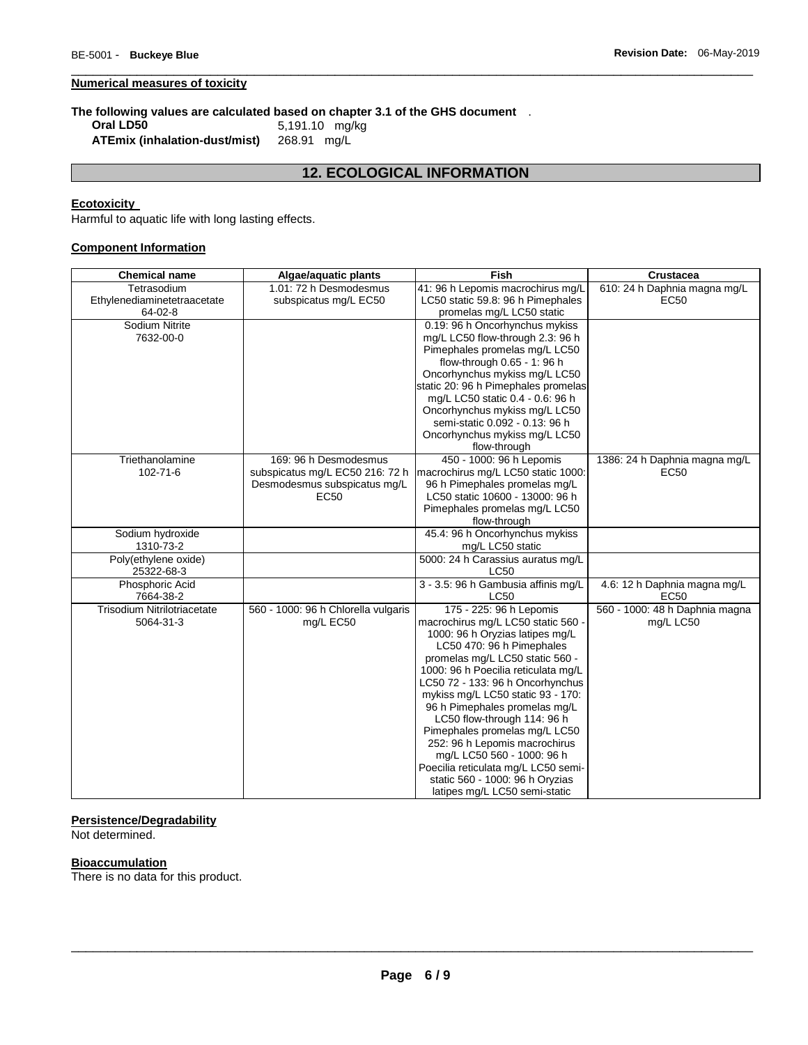# **Numerical measures of toxicity**

**The following values are calculated based on chapter 3.1 of the GHS document** .

**Oral LD50** 5,191.10 mg/kg **ATEmix (inhalation-dust/mist)** 268.91 mg/L

# **12. ECOLOGICAL INFORMATION**

\_\_\_\_\_\_\_\_\_\_\_\_\_\_\_\_\_\_\_\_\_\_\_\_\_\_\_\_\_\_\_\_\_\_\_\_\_\_\_\_\_\_\_\_\_\_\_\_\_\_\_\_\_\_\_\_\_\_\_\_\_\_\_\_\_\_\_\_\_\_\_\_\_\_\_\_\_\_\_\_\_\_\_\_\_\_\_\_\_\_\_\_\_

# **Ecotoxicity**

Harmful to aquatic life with long lasting effects.

## **Component Information**

| <b>Chemical name</b>               | Algae/aquatic plants                | Fish                                                        | Crustacea                                   |
|------------------------------------|-------------------------------------|-------------------------------------------------------------|---------------------------------------------|
| Tetrasodium                        | 1.01: 72 h Desmodesmus              | 41: 96 h Lepomis macrochirus mg/L                           | 610: 24 h Daphnia magna mg/L                |
| Ethylenediaminetetraacetate        | subspicatus mg/L EC50               | LC50 static 59.8: 96 h Pimephales                           | <b>EC50</b>                                 |
| 64-02-8                            |                                     | promelas mg/L LC50 static                                   |                                             |
| Sodium Nitrite                     |                                     | 0.19: 96 h Oncorhynchus mykiss                              |                                             |
| 7632-00-0                          |                                     | mg/L LC50 flow-through 2.3: 96 h                            |                                             |
|                                    |                                     | Pimephales promelas mg/L LC50                               |                                             |
|                                    |                                     | flow-through 0.65 - 1: 96 h                                 |                                             |
|                                    |                                     | Oncorhynchus mykiss mg/L LC50                               |                                             |
|                                    |                                     | static 20: 96 h Pimephales promelas                         |                                             |
|                                    |                                     | mg/L LC50 static 0.4 - 0.6: 96 h                            |                                             |
|                                    |                                     | Oncorhynchus mykiss mg/L LC50                               |                                             |
|                                    |                                     | semi-static 0.092 - 0.13: 96 h                              |                                             |
|                                    |                                     | Oncorhynchus mykiss mg/L LC50<br>flow-through               |                                             |
| Triethanolamine                    | 169: 96 h Desmodesmus               | 450 - 1000: 96 h Lepomis                                    | 1386: 24 h Daphnia magna mg/L               |
| 102-71-6                           | subspicatus mg/L EC50 216: 72 h     | macrochirus mg/L LC50 static 1000:                          | <b>EC50</b>                                 |
|                                    | Desmodesmus subspicatus mg/L        | 96 h Pimephales promelas mg/L                               |                                             |
|                                    | <b>EC50</b>                         | LC50 static 10600 - 13000: 96 h                             |                                             |
|                                    |                                     | Pimephales promelas mg/L LC50                               |                                             |
|                                    |                                     | flow-through                                                |                                             |
| Sodium hydroxide                   |                                     | 45.4: 96 h Oncorhynchus mykiss                              |                                             |
| 1310-73-2                          |                                     | mg/L LC50 static                                            |                                             |
| Poly(ethylene oxide)               |                                     | 5000: 24 h Carassius auratus mg/L                           |                                             |
| 25322-68-3                         |                                     | <b>LC50</b>                                                 |                                             |
| Phosphoric Acid<br>7664-38-2       |                                     | 3 - 3.5: 96 h Gambusia affinis mg/L<br><b>LC50</b>          | 4.6: 12 h Daphnia magna mg/L<br><b>EC50</b> |
| <b>Trisodium Nitrilotriacetate</b> | 560 - 1000: 96 h Chlorella vulgaris | 175 - 225: 96 h Lepomis                                     | 560 - 1000: 48 h Daphnia magna              |
| 5064-31-3                          | mg/L EC50                           | macrochirus mg/L LC50 static 560 -                          | mg/L LC50                                   |
|                                    |                                     | 1000: 96 h Oryzias latipes mg/L                             |                                             |
|                                    |                                     | LC50 470: 96 h Pimephales                                   |                                             |
|                                    |                                     | promelas mg/L LC50 static 560 -                             |                                             |
|                                    |                                     | 1000: 96 h Poecilia reticulata mg/L                         |                                             |
|                                    |                                     | LC50 72 - 133: 96 h Oncorhynchus                            |                                             |
|                                    |                                     | mykiss mg/L LC50 static 93 - 170:                           |                                             |
|                                    |                                     | 96 h Pimephales promelas mg/L                               |                                             |
|                                    |                                     | LC50 flow-through 114: 96 h                                 |                                             |
|                                    |                                     | Pimephales promelas mg/L LC50                               |                                             |
|                                    |                                     | 252: 96 h Lepomis macrochirus<br>mg/L LC50 560 - 1000: 96 h |                                             |
|                                    |                                     | Poecilia reticulata mg/L LC50 semi-                         |                                             |
|                                    |                                     | static 560 - 1000: 96 h Oryzias                             |                                             |
|                                    |                                     | latipes mg/L LC50 semi-static                               |                                             |

# **Persistence/Degradability**

Not determined.

#### **Bioaccumulation**

There is no data for this product.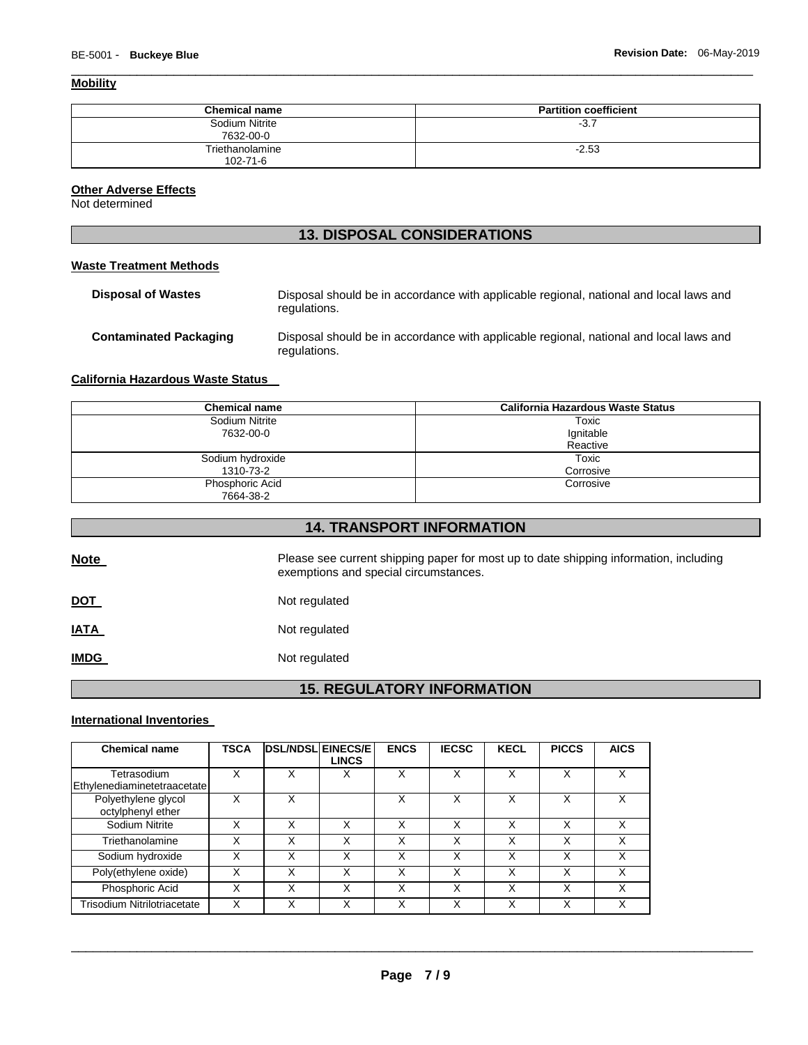# **Mobility**

| <b>Chemical name</b>        | <b>Partition coefficient</b> |
|-----------------------------|------------------------------|
| Sodium Nitrite<br>7632-00-0 | $-3.7$                       |
| Triethanolamine<br>102-71-6 | $-2.53$                      |

\_\_\_\_\_\_\_\_\_\_\_\_\_\_\_\_\_\_\_\_\_\_\_\_\_\_\_\_\_\_\_\_\_\_\_\_\_\_\_\_\_\_\_\_\_\_\_\_\_\_\_\_\_\_\_\_\_\_\_\_\_\_\_\_\_\_\_\_\_\_\_\_\_\_\_\_\_\_\_\_\_\_\_\_\_\_\_\_\_\_\_\_\_

## **Other Adverse Effects**

Not determined

# **13. DISPOSAL CONSIDERATIONS**

## **Waste Treatment Methods**

| <b>Disposal of Wastes</b>     | Disposal should be in accordance with applicable regional, national and local laws and<br>regulations. |
|-------------------------------|--------------------------------------------------------------------------------------------------------|
| <b>Contaminated Packaging</b> | Disposal should be in accordance with applicable regional, national and local laws and<br>regulations. |

# **California Hazardous Waste Status**

| <b>Chemical name</b>        | California Hazardous Waste Status |
|-----------------------------|-----------------------------------|
| Sodium Nitrite<br>7632-00-0 | Toxic<br>Ignitable                |
|                             | Reactive                          |
| Sodium hydroxide            | Toxic                             |
| 1310-73-2                   | Corrosive                         |
| Phosphoric Acid             | Corrosive                         |
| 7664-38-2                   |                                   |

# **14. TRANSPORT INFORMATION**

| <b>Note</b> | Please see current shipping paper for most up to date shipping information, including<br>exemptions and special circumstances. |
|-------------|--------------------------------------------------------------------------------------------------------------------------------|
| <u>DOT</u>  | Not regulated                                                                                                                  |
| <b>IATA</b> | Not regulated                                                                                                                  |
| <b>IMDG</b> | Not regulated                                                                                                                  |

# **15. REGULATORY INFORMATION**

# **International Inventories**

| <b>Chemical name</b>                     | <b>TSCA</b> | <b>DSL/NDSL EINECS/E</b> | <b>LINCS</b> | <b>ENCS</b> | <b>IECSC</b> | <b>KECL</b> | <b>PICCS</b> | <b>AICS</b> |
|------------------------------------------|-------------|--------------------------|--------------|-------------|--------------|-------------|--------------|-------------|
| Tetrasodium                              | x           | Χ                        | Χ            | X           | Χ            |             | Χ            |             |
| Ethylenediaminetetraacetate              |             |                          |              |             |              |             |              |             |
| Polyethylene glycol<br>octylphenyl ether | x           | X                        |              | Χ           | x            |             | x            |             |
| Sodium Nitrite                           | X           | X                        | Χ            | X           | X            |             | x            | x           |
| Triethanolamine                          | x           | Χ                        | Χ            | Χ           | Χ            |             | Χ            | x           |
| Sodium hydroxide                         | Χ           | X                        | Χ            | X           | X            |             | x            | Χ           |
| Poly(ethylene oxide)                     | Χ           | X                        | Χ            | X           | X            |             | x            | X           |
| Phosphoric Acid                          | x           | Χ                        | Χ            | Χ           | Χ            | X           | X            | X           |
| <b>Trisodium Nitrilotriacetate</b>       |             | Χ                        | Χ            |             | Χ            |             | Χ            |             |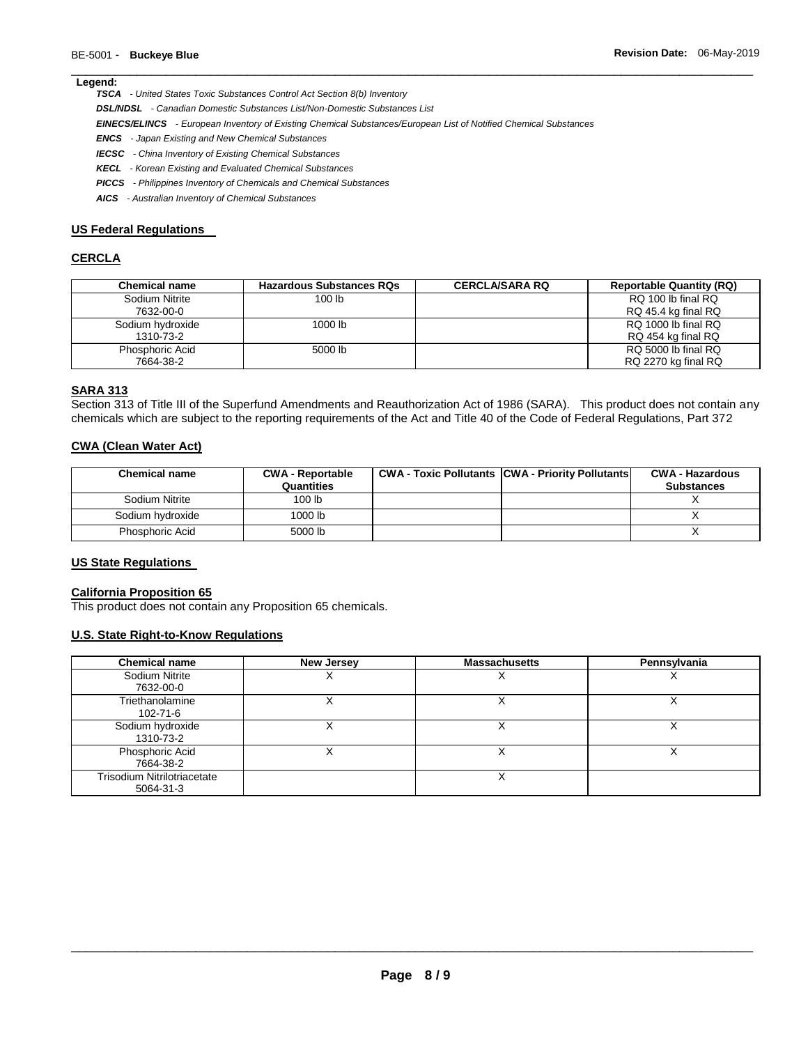# **Legend:**

*TSCA - United States Toxic Substances Control Act Section 8(b) Inventory* 

*DSL/NDSL - Canadian Domestic Substances List/Non-Domestic Substances List* 

*EINECS/ELINCS - European Inventory of Existing Chemical Substances/European List of Notified Chemical Substances* 

- *ENCS - Japan Existing and New Chemical Substances*
- *IECSC - China Inventory of Existing Chemical Substances*
- *KECL - Korean Existing and Evaluated Chemical Substances*
- *PICCS - Philippines Inventory of Chemicals and Chemical Substances*
- *AICS - Australian Inventory of Chemical Substances*

#### **US Federal Regulations**

# **CERCLA**

| Chemical name    | <b>Hazardous Substances RQs</b> | <b>CERCLA/SARA RQ</b> | <b>Reportable Quantity (RQ)</b> |
|------------------|---------------------------------|-----------------------|---------------------------------|
| Sodium Nitrite   | 100 lb                          |                       | RQ 100 lb final RQ              |
| 7632-00-0        |                                 |                       | RQ 45.4 kg final RQ             |
| Sodium hydroxide | 1000 lb                         |                       | RQ 1000 lb final RQ             |
| 1310-73-2        |                                 |                       | RQ 454 kg final RQ              |
| Phosphoric Acid  | 5000 lb                         |                       | RQ 5000 lb final RQ             |
| 7664-38-2        |                                 |                       | RQ 2270 kg final RQ             |

\_\_\_\_\_\_\_\_\_\_\_\_\_\_\_\_\_\_\_\_\_\_\_\_\_\_\_\_\_\_\_\_\_\_\_\_\_\_\_\_\_\_\_\_\_\_\_\_\_\_\_\_\_\_\_\_\_\_\_\_\_\_\_\_\_\_\_\_\_\_\_\_\_\_\_\_\_\_\_\_\_\_\_\_\_\_\_\_\_\_\_\_\_

#### **SARA 313**

Section 313 of Title III of the Superfund Amendments and Reauthorization Act of 1986 (SARA). This product does not contain any chemicals which are subject to the reporting requirements of the Act and Title 40 of the Code of Federal Regulations, Part 372

#### **CWA (Clean Water Act)**

| <b>Chemical name</b> | <b>CWA - Reportable</b><br>Quantities | <b>CWA - Toxic Pollutants CWA - Priority Pollutants</b> | <b>CWA - Hazardous</b><br><b>Substances</b> |
|----------------------|---------------------------------------|---------------------------------------------------------|---------------------------------------------|
| Sodium Nitrite       | 100 lb                                |                                                         |                                             |
| Sodium hydroxide     | 1000 lb                               |                                                         |                                             |
| Phosphoric Acid      | 5000 lb                               |                                                         |                                             |

#### **US State Regulations**

# **California Proposition 65**

This product does not contain any Proposition 65 chemicals.

#### **U.S. State Right-to-Know Regulations**

| <b>Chemical name</b>                     | <b>New Jersey</b> | <b>Massachusetts</b> | Pennsylvania |
|------------------------------------------|-------------------|----------------------|--------------|
| Sodium Nitrite<br>7632-00-0              |                   |                      |              |
| Triethanolamine<br>102-71-6              |                   |                      |              |
| Sodium hydroxide<br>1310-73-2            |                   |                      |              |
| Phosphoric Acid<br>7664-38-2             |                   |                      |              |
| Trisodium Nitrilotriacetate<br>5064-31-3 |                   |                      |              |